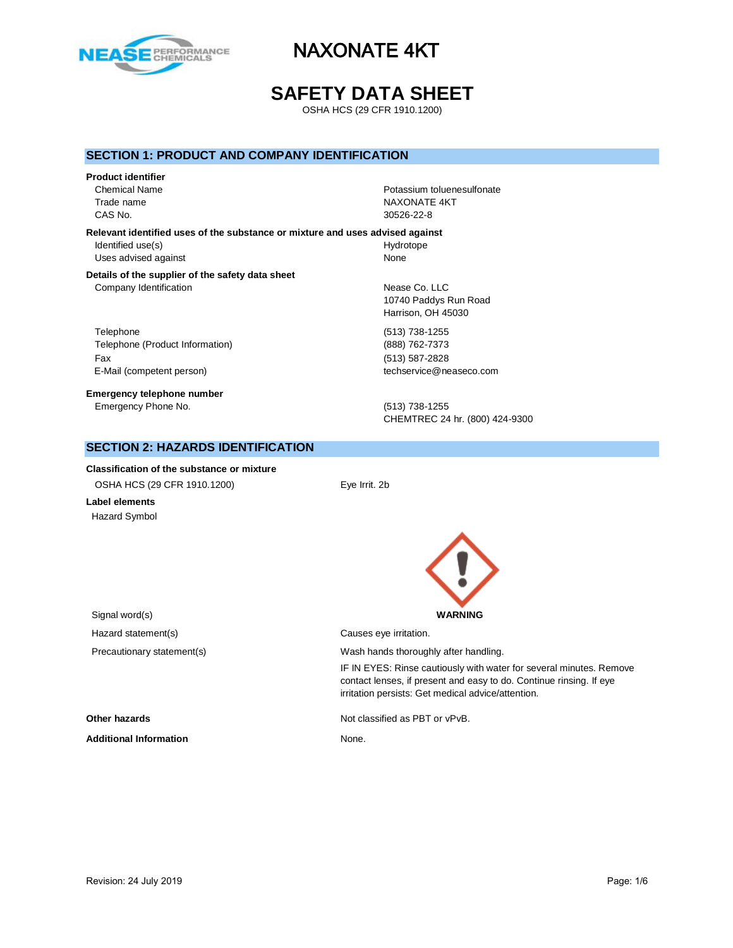

## **SAFETY DATA SHEET**

OSHA HCS (29 CFR 1910.1200)

#### **SECTION 1: PRODUCT AND COMPANY IDENTIFICATION**

#### **Product identifier**

CAS No. 30526-22-8

Chemical Name Potassium toluenesulfonate Trade name NAXONATE 4KT

**Relevant identified uses of the substance or mixture and uses advised against** Identified use(s) and the extent of the Hydrotope Hydrotope Uses advised against None

#### **Details of the supplier of the safety data sheet** Company Identification **Nearly 19** Nease Co. LLC

Telephone (513) 738-1255 Telephone (Product Information) (888) 762-7373 Fax (513) 587-2828 E-Mail (competent person) example a second techservice@neaseco.com

**Emergency telephone number** Emergency Phone No. (513) 738-1255

10740 Paddys Run Road Harrison, OH 45030

CHEMTREC 24 hr. (800) 424-9300

#### **SECTION 2: HAZARDS IDENTIFICATION**

**Classification of the substance or mixture** OSHA HCS (29 CFR 1910.1200) Eye Irrit. 2b

**Label elements** Hazard Symbol



irritation persists: Get medical advice/attention.

IF IN EYES: Rinse cautiously with water for several minutes. Remove contact lenses, if present and easy to do. Continue rinsing. If eye

Signal word(s) **WARNING** Hazard statement(s) example a control causes eye irritation. Precautionary statement(s) example a wash hands thoroughly after handling.

**Other hazards Other hazards Not classified as PBT or vPvB.** 

Additional Information **None.** None.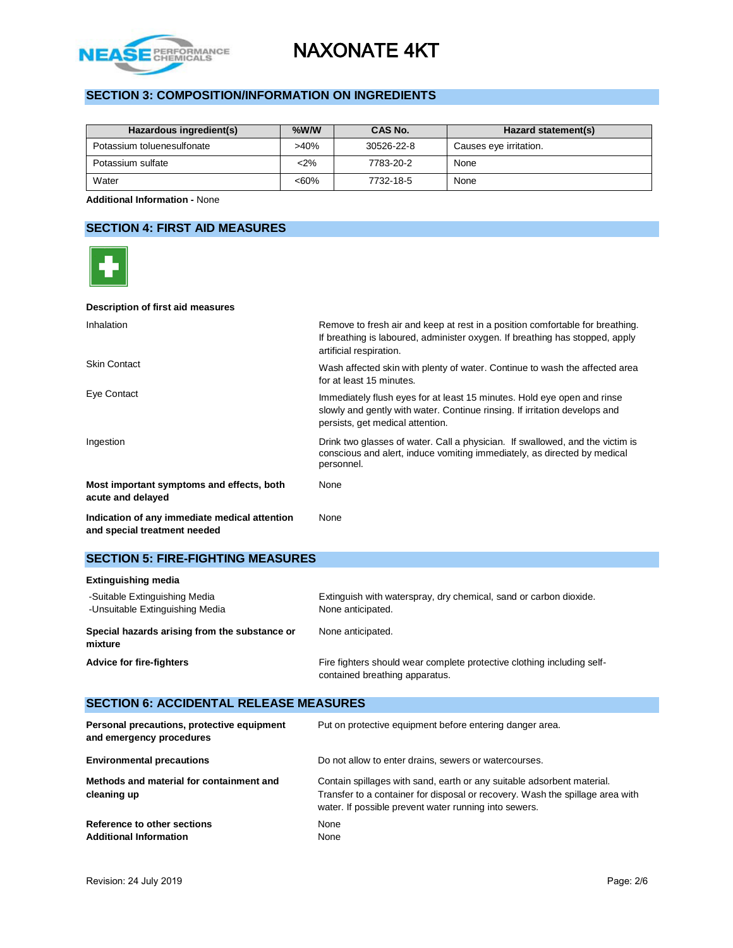

### **SECTION 3: COMPOSITION/INFORMATION ON INGREDIENTS**

| Hazardous ingredient(s)    | $%$ W/W | CAS No.    | Hazard statement(s)    |
|----------------------------|---------|------------|------------------------|
| Potassium toluenesulfonate | >40%    | 30526-22-8 | Causes eye irritation. |
| Potassium sulfate          | $2\%$   | 7783-20-2  | None                   |
| Water                      | $<60\%$ | 7732-18-5  | None                   |

**Additional Information -** None

### **SECTION 4: FIRST AID MEASURES**



|  | <b>SECTION 5: FIRE-FIGHTING MEASURES</b> |
|--|------------------------------------------|
|--|------------------------------------------|

| <b>Extinguishing media</b>                                       |                                                                                                          |
|------------------------------------------------------------------|----------------------------------------------------------------------------------------------------------|
| -Suitable Extinguishing Media<br>-Unsuitable Extinguishing Media | Extinguish with waterspray, dry chemical, sand or carbon dioxide.<br>None anticipated.                   |
| Special hazards arising from the substance or<br>mixture         | None anticipated.                                                                                        |
| <b>Advice for fire-fighters</b>                                  | Fire fighters should wear complete protective clothing including self-<br>contained breathing apparatus. |

## **SECTION 6: ACCIDENTAL RELEASE MEASURES**

| Personal precautions, protective equipment<br>and emergency procedures | Put on protective equipment before entering danger area.                                                                                                                                                         |
|------------------------------------------------------------------------|------------------------------------------------------------------------------------------------------------------------------------------------------------------------------------------------------------------|
| <b>Environmental precautions</b>                                       | Do not allow to enter drains, sewers or watercourses.                                                                                                                                                            |
| Methods and material for containment and<br>cleaning up                | Contain spillages with sand, earth or any suitable adsorbent material.<br>Transfer to a container for disposal or recovery. Wash the spillage area with<br>water. If possible prevent water running into sewers. |
| Reference to other sections<br><b>Additional Information</b>           | None<br>None                                                                                                                                                                                                     |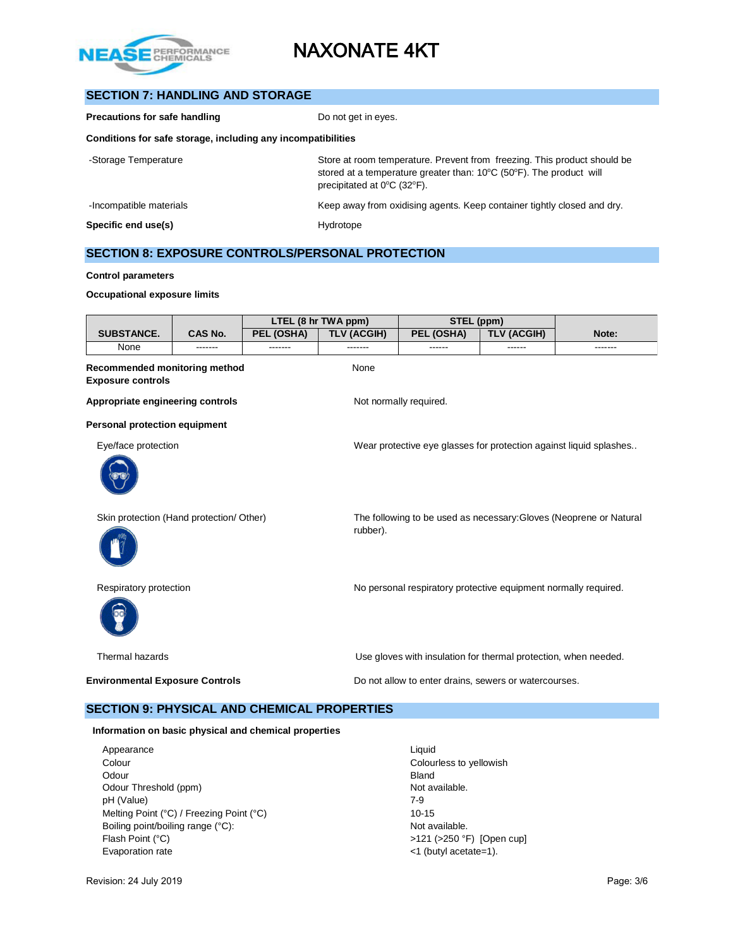

## **SECTION 7: HANDLING AND STORAGE**

| Precautions for safe handling                                | Do not get in eyes.                                                                                                                                                                                                      |  |  |  |
|--------------------------------------------------------------|--------------------------------------------------------------------------------------------------------------------------------------------------------------------------------------------------------------------------|--|--|--|
| Conditions for safe storage, including any incompatibilities |                                                                                                                                                                                                                          |  |  |  |
| -Storage Temperature                                         | Store at room temperature. Prevent from freezing. This product should be<br>stored at a temperature greater than: $10^{\circ}$ C (50 $^{\circ}$ F). The product will<br>precipitated at $0^{\circ}$ C (32 $^{\circ}$ F). |  |  |  |
| -Incompatible materials                                      | Keep away from oxidising agents. Keep container tightly closed and dry.                                                                                                                                                  |  |  |  |
| Specific end use(s)                                          | Hydrotope                                                                                                                                                                                                                |  |  |  |

#### **SECTION 8: EXPOSURE CONTROLS/PERSONAL PROTECTION**

#### **Control parameters**

#### **Occupational exposure limits**

|                                                                  |         |            | LTEL (8 hr TWA ppm) | STEL (ppm)                                                      |                    |                                                                    |
|------------------------------------------------------------------|---------|------------|---------------------|-----------------------------------------------------------------|--------------------|--------------------------------------------------------------------|
| <b>SUBSTANCE.</b>                                                | CAS No. | PEL (OSHA) | <b>TLV (ACGIH)</b>  | PEL (OSHA)                                                      | <b>TLV (ACGIH)</b> | Note:                                                              |
| None                                                             | ------- |            |                     |                                                                 | ------             | -------                                                            |
| <b>Recommended monitoring method</b><br><b>Exposure controls</b> |         |            | None                |                                                                 |                    |                                                                    |
| Appropriate engineering controls                                 |         |            |                     | Not normally required.                                          |                    |                                                                    |
| <b>Personal protection equipment</b>                             |         |            |                     |                                                                 |                    |                                                                    |
| Eye/face protection                                              |         |            |                     |                                                                 |                    | Wear protective eye glasses for protection against liquid splashes |
|                                                                  |         |            |                     |                                                                 |                    |                                                                    |
| Skin protection (Hand protection/ Other)                         |         |            | rubber).            |                                                                 |                    | The following to be used as necessary: Gloves (Neoprene or Natural |
| Respiratory protection                                           |         |            |                     | No personal respiratory protective equipment normally required. |                    |                                                                    |
| Thermal hazards                                                  |         |            |                     | Use gloves with insulation for thermal protection, when needed. |                    |                                                                    |
| <b>Environmental Exposure Controls</b>                           |         |            |                     | Do not allow to enter drains, sewers or watercourses.           |                    |                                                                    |
| <b>SECTION 9: PHYSICAL AND CHEMICAL PROPERTIES</b>               |         |            |                     |                                                                 |                    |                                                                    |

#### **Information on basic physical and chemical properties**

- Appearance Liquid Colour Colourless to yellowish Odour **Bland** Odour Threshold (ppm) Not available. pH (Value) 7-9 Melting Point (°C) / Freezing Point (°C) 10-15 Boiling point/boiling range (°C): Not available. Flash Point (°C)  $>121$  (>250 °F) [Open cup] Evaporation rate  $\leq 1$  (butyl acetate=1).
	-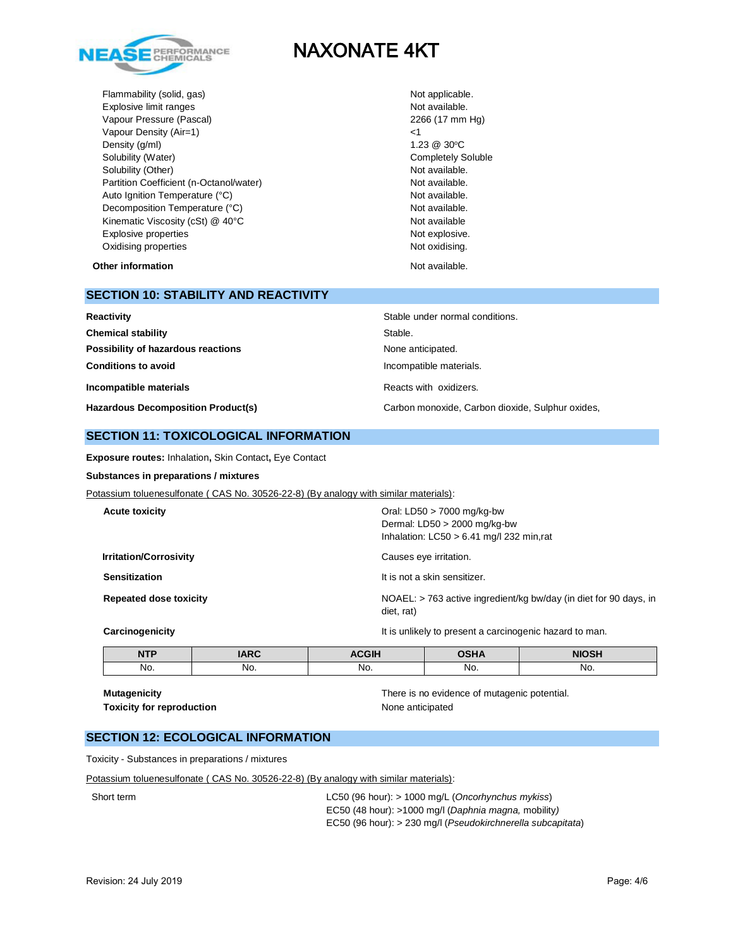

Flammability (solid, gas) Not applicable. Explosive limit ranges Not available. Vapour Pressure (Pascal) 2266 (17 mm Hg) Vapour Density (Air=1) <1 Density  $(g/m)$  1.23  $@$  30°C Solubility (Water) Completely Soluble Solubility (Other) Not available. Partition Coefficient (n-Octanol/water) Not available. Auto Ignition Temperature (°C) and the contract of the Not available. Decomposition Temperature (°C) Not available. Kinematic Viscosity (cSt) @ 40°C Not available Not available Explosive properties Not explosive. Oxidising properties Not oxidising.

**Other information Not available. Other information** 

## **SECTION 10: STABILITY AND REACTIVITY**

| Reactivity                                | Stable under normal conditions.                  |
|-------------------------------------------|--------------------------------------------------|
| <b>Chemical stability</b>                 | Stable.                                          |
| Possibility of hazardous reactions        | None anticipated.                                |
| <b>Conditions to avoid</b>                | Incompatible materials.                          |
| Incompatible materials                    | Reacts with oxidizers.                           |
| <b>Hazardous Decomposition Product(s)</b> | Carbon monoxide, Carbon dioxide, Sulphur oxides, |

#### **SECTION 11: TOXICOLOGICAL INFORMATION**

**Exposure routes:** Inhalation**,** Skin Contact**,** Eye Contact

#### **Substances in preparations / mixtures**

Potassium toluenesulfonate ( CAS No. 30526-22-8) (By analogy with similar materials):

| <b>Acute toxicity</b>         | Oral: LD50 $>$ 7000 mg/kg-bw<br>Dermal: $LD50 > 2000$ mg/kg-bw<br>Inhalation: $LC50 > 6.41$ mg/l 232 min,rat |
|-------------------------------|--------------------------------------------------------------------------------------------------------------|
| <b>Irritation/Corrosivity</b> | Causes eye irritation.                                                                                       |
| <b>Sensitization</b>          | It is not a skin sensitizer.                                                                                 |
| <b>Repeated dose toxicity</b> | NOAEL: > 763 active ingredient/kg bw/day (in diet for 90 days, in<br>diet, rat)                              |
| Carcinogenicity               | It is unlikely to present a carcinogenic hazard to man.                                                      |

| It is unlikely to present a carcinogenic hazard to man. |
|---------------------------------------------------------|
|                                                         |

| <b>NTP</b> | <b>IARC</b> | <b>ACGIH</b> | <b>DSHA</b> | <b>NIOSH</b> |
|------------|-------------|--------------|-------------|--------------|
| No.        | No.         | No.          | No.         | No.          |

# **Toxicity for reproduction None anticipated**

**Mutagenicity** There is no evidence of mutagenic potential.

## **SECTION 12: ECOLOGICAL INFORMATION**

Toxicity - Substances in preparations / mixtures

Potassium toluenesulfonate ( CAS No. 30526-22-8) (By analogy with similar materials):

Short term LC50 (96 hour): > 1000 mg/L (*Oncorhynchus mykiss*) EC50 (48 hour): >1000 mg/l (*Daphnia magna,* mobility*)*  EC50 (96 hour): > 230 mg/l (*Pseudokirchnerella subcapitata*)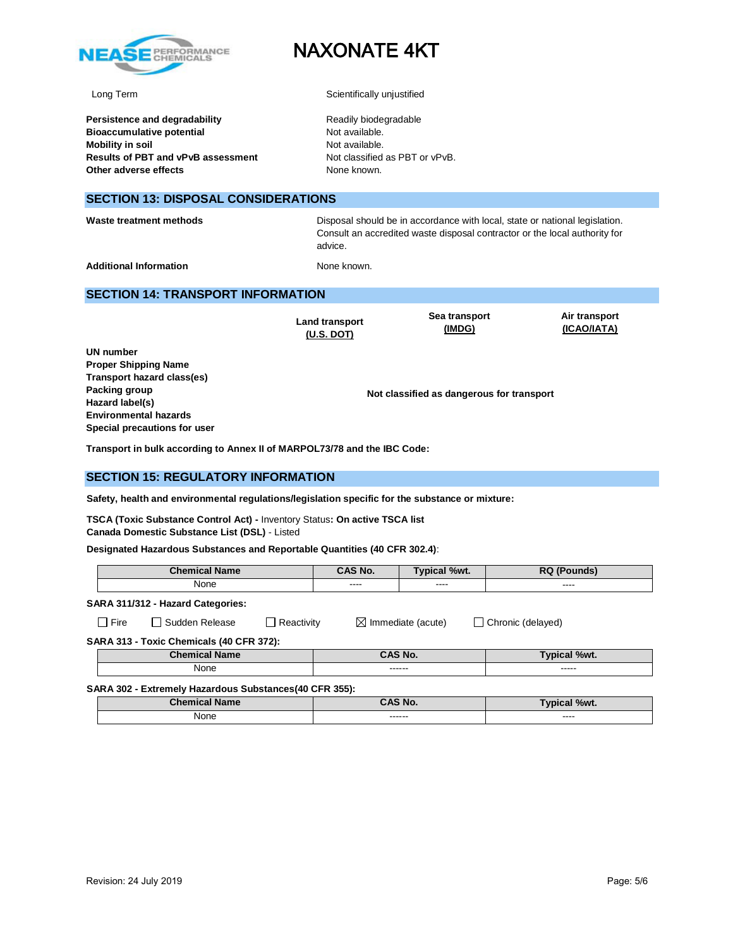

**Persistence and degradability** Readily biodegradable **Bioaccumulative potential Not available.** Not available. **Mobility in soil Mobility** in soil **Results of PBT and vPvB assessment** Not classified as PBT or vPvB. **Other adverse effects** None known.

# NAXONATE 4KT

Long Term Scientifically unjustified

#### **SECTION 13: DISPOSAL CONSIDERATIONS**

Waste treatment methods **Disposal should be in accordance with local**, state or national legislation. Consult an accredited waste disposal contractor or the local authority for advice.

Additional Information **None known.** None known.

#### **SECTION 14: TRANSPORT INFORMATION**

**Land transport (U.S. DOT)**

**Sea transport (IMDG)**

**Air transport (ICAO/IATA)**

**UN number Proper Shipping Name Transport hazard class(es) Packing group Hazard label(s) Environmental hazards Special precautions for user**

**Not classified as dangerous for transport**

**Transport in bulk according to Annex II of MARPOL73/78 and the IBC Code:** 

#### **SECTION 15: REGULATORY INFORMATION**

**Safety, health and environmental regulations/legislation specific for the substance or mixture:**

**TSCA (Toxic Substance Control Act) -** Inventory Status**: On active TSCA list Canada Domestic Substance List (DSL)** - Listed

**Designated Hazardous Substances and Reportable Quantities (40 CFR 302.4)**:

|      |        | <b>Chemical Name</b>              |                     | CAS No. | <b>Typical %wt.</b>           | <b>RQ</b> (Pounds) |
|------|--------|-----------------------------------|---------------------|---------|-------------------------------|--------------------|
| None |        | ----                              | $\cdots$            | ----    |                               |                    |
|      |        | SARA 311/312 - Hazard Categories: |                     |         |                               |                    |
|      | ∃ Fire | l Sudden Release                  | $\sqcap$ Reactivity |         | $\boxtimes$ Immediate (acute) | Chronic (delayed)  |

**SARA 313 - Toxic Chemicals (40 CFR 372):** 

|       |                     | 70WL.             |
|-------|---------------------|-------------------|
| - - - | -------<br>-------- | ------<br>------- |

**SARA 302 - Extremely Hazardous Substances(40 CFR 355):**

| <b>Chemical Name</b> | <b>AS No.</b>      | Typical %wt.           |
|----------------------|--------------------|------------------------|
| None                 | -------<br>------- | $\frac{1}{2}$<br>_____ |